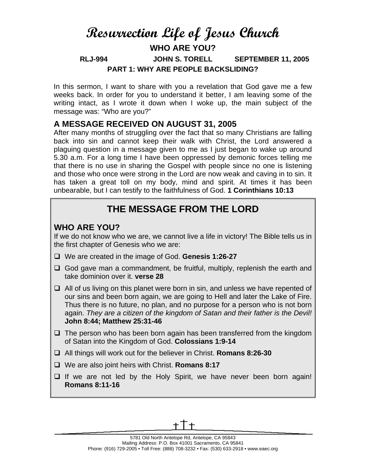# **Resurrection Life of Jesus Church WHO ARE YOU? RLJ-994 JOHN S. TORELL SEPTEMBER 11, 2005 PART 1: WHY ARE PEOPLE BACKSLIDING?**

In this sermon, I want to share with you a revelation that God gave me a few weeks back. In order for you to understand it better, I am leaving some of the writing intact, as I wrote it down when I woke up, the main subject of the message was: "Who are you?"

#### **A MESSAGE RECEIVED ON AUGUST 31, 2005**

After many months of struggling over the fact that so many Christians are falling back into sin and cannot keep their walk with Christ, the Lord answered a plaguing question in a message given to me as I just began to wake up around 5.30 a.m. For a long time I have been oppressed by demonic forces telling me that there is no use in sharing the Gospel with people since no one is listening and those who once were strong in the Lord are now weak and caving in to sin. It has taken a great toll on my body, mind and spirit. At times it has been unbearable, but I can testify to the faithfulness of God. **1 Corinthians 10:13**

## **THE MESSAGE FROM THE LORD**

### **WHO ARE YOU?**

If we do not know who we are, we cannot live a life in victory! The Bible tells us in the first chapter of Genesis who we are:

- We are created in the image of God. **Genesis 1:26-27**
- $\Box$  God gave man a commandment, be fruitful, multiply, replenish the earth and take dominion over it. **verse 28**
- $\Box$  All of us living on this planet were born in sin, and unless we have repented of our sins and been born again, we are going to Hell and later the Lake of Fire. Thus there is no future, no plan, and no purpose for a person who is not born again. *They are a citizen of the kingdom of Satan and their father is the Devil!* **John 8:44; Matthew 25:31-46**
- $\Box$  The person who has been born again has been transferred from the kingdom of Satan into the Kingdom of God. **Colossians 1:9-14**
- All things will work out for the believer in Christ. **Romans 8:26-30**
- We are also joint heirs with Christ. **Romans 8:17**
- $\Box$  If we are not led by the Holy Spirit, we have never been born again! **Romans 8:11-16**